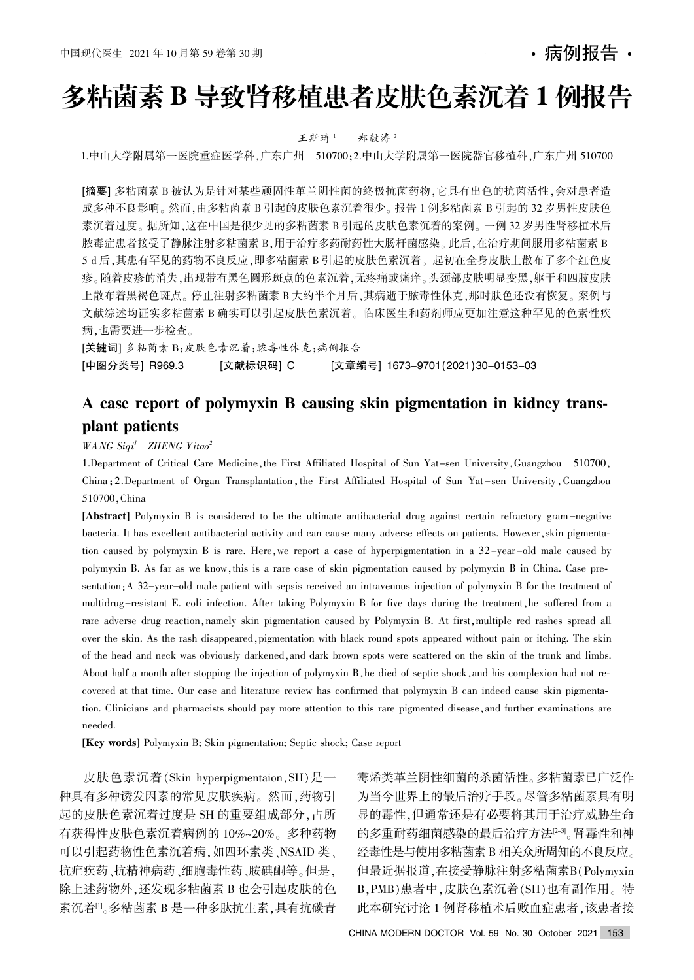病例报告・

# 多粘菌素 B 导致肾移植患者皮肤色素沉着 1 例报告

王斯琦1 郑毅涛2

1.中山大学附属第一医院重症医学科,广东广州 510700;2.中山大学附属第一医院器官移植科,广东广州 510700

[摘要] 多粘菌素 B 被认为是针对某些顽固性革兰阴性菌的终极抗菌药物, 它具有出色的抗菌活性, 会对患者造 成多种不良影响。然而,由多粘菌素 B 引起的皮肤色素沉着很少。报告 1 例多粘菌素 B 引起的 32 岁男性皮肤色 素沉着过度。据所知,这在中国是很少见的多粘菌素 B 引起的皮肤色素沉着的案例。一例 32 岁男性肾移植术后 脓毒症患者接受了静脉注射多粘菌素 B,用于治疗多药耐药性大肠杆菌感染。此后,在治疗期间服用多粘菌素 B 5 d 后,其患有罕见的药物不良反应,即多粘菌素 B 引起的皮肤色素沉着。起初在全身皮肤上散布了多个红色皮 疹。随着皮疹的消失,出现带有黑色圆形斑点的色素沉着,无疼痛或瘙痒。头颈部皮肤明显变黑,躯干和四肢皮肤 上散布着黑褐色斑点。停止注射多粘菌素 B 大约半个月后,其病逝于脓毒性休克,那时肤色还没有恢复。案例与 文献综述均证实多粘菌素 B 确实可以引起皮肤色素沉着。临床医生和药剂师应更加注意这种罕见的色素性疾 病.也需要进一步检查。

[关键词] 多粘菌素 B;皮肤色素沉着;脓毒性休克;病例报告 [中图分类号] R969.3 [文献标识码] C [文章编号] 1673-9701(2021)30-0153-03

# A case report of polymyxin B causing skin pigmentation in kidney transplant patients

WANG Siqi<sup>1</sup> ZHENG Yitao<sup>2</sup>

1.Department of Critical Care Medicine, the First Affiliated Hospital of Sun Yat-sen University, Guangzhou 510700, China; 2. Department of Organ Transplantation, the First Affiliated Hospital of Sun Yat-sen University, Guangzhou 510700, China

[Abstract] Polymyxin B is considered to be the ultimate antibacterial drug against certain refractory gram -negative bacteria. It has excellent antibacterial activity and can cause many adverse effects on patients. However, skin pigmentation caused by polymyxin B is rare. Here, we report a case of hyperpigmentation in a  $32$ -year-old male caused by polymyxin B. As far as we know this is a rare case of skin pigmentation caused by polymyxin B in China. Case presentation A 32-year-old male patient with sepsis received an intravenous injection of polymyxin B for the treatment of multidrug-resistant E. coli infection. After taking Polymyxin B for five days during the treatment, he suffered from a rare adverse drug reaction namely skin pigmentation caused by Polymyxin B. At first multiple red rashes spread all over the skin. As the rash disappeared pigmentation with black round spots appeared without pain or itching. The skin of the head and neck was obviously darkened, and dark brown spots were scattered on the skin of the trunk and limbs. About half a month after stopping the injection of polymyxin B, he died of septic shock, and his complexion had not recovered at that time. Our case and literature review has confirmed that polymyxin B can indeed cause skin pigmentation. Clinicians and pharmacists should pay more attention to this rare pigmented disease and further examinations are needed.

[Key words] Polymyxin B; Skin pigmentation; Septic shock; Case report

皮肤色素沉着(Skin hyperpigmentaion, SH) 是一 种具有多种诱发因素的常见皮肤疾病。然而,药物引 起的皮肤色素沉着过度是 SH 的重要组成部分,占所 有获得性皮肤色素沉着病例的 10%~20%。多种药物 可以引起药物性色素沉着病,如四环素类、NSAID 类、 抗疟疾药、抗精神病药、细胞毒性药、胺碘酮等。但是, 除上述药物外,还发现多粘菌素 B 也会引起皮肤的色 素沉着[1]。多粘菌素 B 是一种多肽抗生素,具有抗碳青

霉烯类革兰阴性细菌的杀菌活性。多粘菌素已广泛作 为当今世界上的最后治疗手段。尽管多粘菌素具有明 显的毒性,但通常还是有必要将其用于治疗威胁生命 的多重耐药细菌感染的最后治疗方法[2-3]。肾毒性和神 经毒性是与使用多粘菌素 B 相关众所周知的不良反应。 但最近据报道,在接受静脉注射多粘菌素B(Polymyxin B, PMB)患者中,皮肤色素沉着(SH)也有副作用。特 此本研究讨论 1 例肾移植术后败血症患者, 该患者接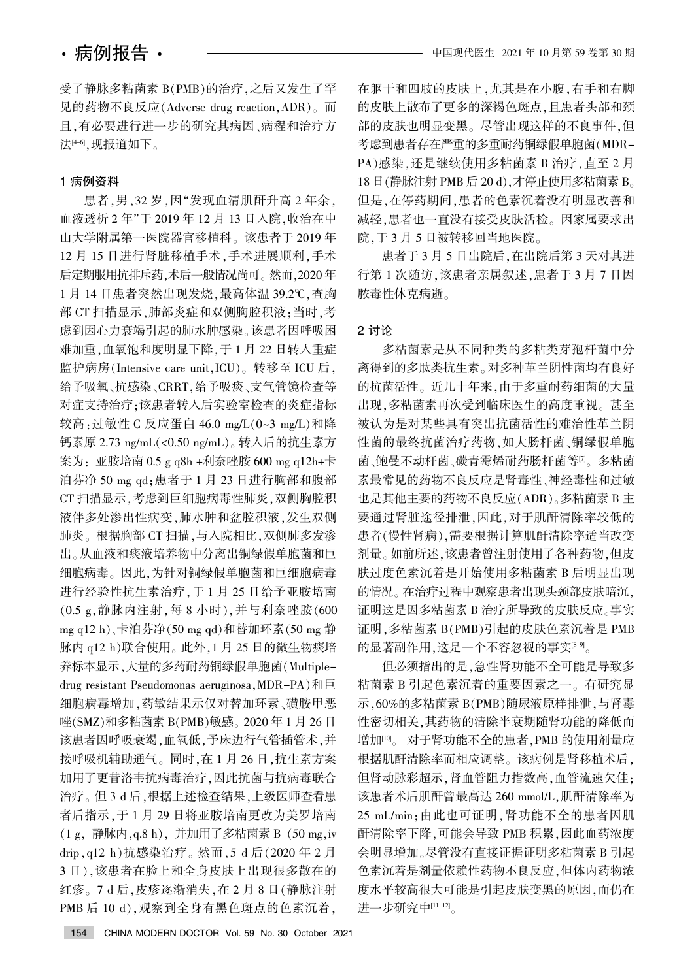受了静脉多粘菌素 B(PMB)的治疗,之后又发生了罕 见的药物不良反应(Adverse drug reaction, ADR)。而 日, 有必要进行进一步的研究其病因、病程和治疗方 法[4-6],现报道如下。

## 1 病例资料

患者,男,32岁,因"发现血清肌酐升高 2 年余, 血液透析 2 年"于 2019 年 12 月 13 日入院, 收治在中 山大学附属第一医院器官移植科。该患者于 2019 年 12 月 15 日进行肾脏移植手术, 手术进展顺利, 手术 后定期服用抗排斥药,术后一般情况尚可。然而,2020年 1月14日患者突然出现发烧,最高体温 39.2℃,查胸 部 CT 扫描显示, 肺部炎症和双侧胸腔积液; 当时, 考 虑到因心力衰竭引起的肺水肿感染。该患者因呼吸困 难加重,血氧饱和度明显下降,于1月22日转入重症 监护病房(Intensive care unit, ICU)。转移至 ICU 后, 给予吸氧、抗感染、CRRT,给予吸痰、支气管镜检查等 对症支持治疗;该患者转入后实验室检查的炎症指标 较高: 过敏性 C 反应蛋白 46.0 mg/L(0~3 mg/L)和降 钙素原 2.73 ng/mL(<0.50 ng/mL)。转入后的抗生素方 案为: 亚胺培南 0.5 g q8h +利奈唑胺 600 mg q12h+卡 泊芬净 50 mg qd: 患者于 1 月 23 日进行胸部和腹部 CT 扫描显示,考虑到巨细胞病毒性肺炎,双侧胸腔积 液伴多处渗出性病变,肺水肿和盆腔积液,发生双侧 肺炎。根据胸部 CT 扫描,与入院相比,双侧肺多发渗 出。从血液和痰液培养物中分离出铜绿假单胞菌和巨 细胞病毒。因此,为针对铜绿假单胞菌和巨细胞病毒 进行经验性抗生素治疗,于1月25日给予亚胺培南  $(0.5 \text{ g}, \frac{3}{9} \text{ m})$ 热内注射,每8 小时),并与利奈唑胺 $(600 \text{ g})$ mg q12 h)、卡泊芬净(50 mg qd)和替加环素(50 mg 静 脉内 q12 h)联合使用。此外, 1 月 25 日的微生物痰培 养标本显示,大量的多药耐药铜绿假单胞菌(Multipledrug resistant Pseudomonas aeruginosa, MDR-PA)和巨 细胞病毒增加,药敏结果示仅对替加环素、磺胺甲恶 唑(SMZ)和多粘菌素 B(PMB)敏感。 2020 年 1 月 26 日 该患者因呼吸衰竭,血氧低,予床边行气管插管术,并 接呼吸机辅助通气。同时,在1月26日,抗生素方案 加用了更昔洛韦抗病毒治疗,因此抗菌与抗病毒联合 治疗。但 3 d 后, 根据上述检查结果, 上级医师查看患 者后指示,于1月29日将亚胺培南更改为美罗培南 渊1 g袁 静脉内袁q.8 h冤袁 并加用了多粘菌素 B 渊50 mg袁iv drip, q12 h)抗感染治疗。然而, 5 d 后(2020年2月 3日),该患者在脸上和全身皮肤上出现很多散在的 红疹。7 d 后,皮疹逐渐消失,在 2 月 8 日(静脉注射 PMB 后 10 d), 观察到全身有黑色斑点的色素沉着,

在躯干和四肢的皮肤上,尤其是在小腹,右手和右脚 的皮肤上散布了更多的深褐色斑点,且患者头部和颈 部的皮肤也明显变黑。尽管出现这样的不良事件,但 考虑到患者存在严重的多重耐药铜绿假单胞菌(MDR-PA)感染, 还是继续使用多粘菌素 B 治疗, 直至 2 月 18 日 (静脉注射 PMB 后 20 d),才停止使用多粘菌素 B。 但是,在停药期间,患者的色素沉着没有明显改善和 减轻,患者也一直没有接受皮肤活检。因家属要求出 院,于3月5日被转移回当地医院。

患者于 3 月 5 日出院后,在出院后第 3 天对其进 行第1次随访,该患者亲属叙述,患者于 3 月 7 日因 脓毒性休克病逝。

### 2 讨论

多粘菌素是从不同种类的多粘类芽孢杆菌中分 离得到的多肽类抗生素。对多种革兰阴性菌均有良好 的抗菌活性。近几十年来,由于多重耐药细菌的大量 出现,多粘菌素再次受到临床医生的高度重视。甚至 被认为是对某些具有突出抗菌活性的难治性革兰阴 性菌的最终抗菌治疗药物,如大肠杆菌、铜绿假单胞 菌、鲍曼不动杆菌、碳青霉烯耐药肠杆菌等<sup>[7]</sup>。多粘菌 素最常见的药物不良反应是肾毒性、神经毒性和过敏 也是其他主要的药物不良反应(ADR)。多粘菌素 B 主 要通过肾脏途径排泄,因此,对于肌酐清除率较低的 患者(慢性肾病),需要根据计算肌酐清除率适当改变 剂量。如前所述,该患者曾注射使用了各种药物,但皮 肤过度色素沉着是开始使用多粘菌素 B 后明显出现 的情况。在治疗过程中观察患者出现头颈部皮肤暗沉, 证明这是因多粘菌素 B 治疗所导致的皮肤反应。事实 证明,多粘菌素 B(PMB)引起的皮肤色素沉着是 PMB 的显著副作用,这是一个不容忽视的事实 ${}^{\text{8-9}}$ 。

但必须指出的是,急性肾功能不全可能是导致多 粘菌素 B 引起色素沉着的重要因素之一。有研究显 示,60%的多粘菌素 B(PMB)随尿液原样排泄,与肾毒 性密切相关,其药物的清除半衰期随肾功能的降低而 增加<sup>[10]</sup>。 对于肾功能不全的患者, PMB 的使用剂量应 根据肌酐清除率而相应调整。该病例是肾移植术后, 但肾动脉彩超示,肾血管阻力指数高,血管流速欠佳; 该患者术后肌酐曾最高达 260 mmol/L,肌酐清除率为 25 mL/min;由此也可证明,肾功能不全的患者因肌 酐清除率下降,可能会导致 PMB 积累,因此血药浓度 会明显增加。尽管没有直接证据证明多粘菌素 B 引起 色素沉着是剂量依赖性药物不良反应,但体内药物浓 度水平较高很大可能是引起皮肤变黑的原因,而仍在 进一步研究中 $[11-12]$ 。